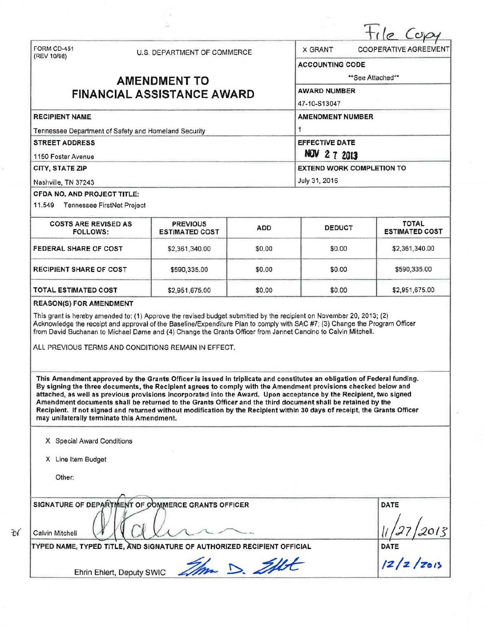|                                                      |  |                                                                                                                                                                                                                                                                                                                                                                                                                                                                                                                                                                                                             |                         |                                                  | C <sub>K</sub>                            |  |
|------------------------------------------------------|--|-------------------------------------------------------------------------------------------------------------------------------------------------------------------------------------------------------------------------------------------------------------------------------------------------------------------------------------------------------------------------------------------------------------------------------------------------------------------------------------------------------------------------------------------------------------------------------------------------------------|-------------------------|--------------------------------------------------|-------------------------------------------|--|
| FORM CD-451<br>(REV 10/98)                           |  | U.S. DEPARTMENT OF COMMERCE                                                                                                                                                                                                                                                                                                                                                                                                                                                                                                                                                                                 |                         | <b>X GRANT</b><br><b>COOPERATIVE AGREEMENT</b>   |                                           |  |
|                                                      |  |                                                                                                                                                                                                                                                                                                                                                                                                                                                                                                                                                                                                             |                         | <b>ACCOUNTING CODE</b>                           |                                           |  |
|                                                      |  | <b>AMENDMENT TO</b>                                                                                                                                                                                                                                                                                                                                                                                                                                                                                                                                                                                         |                         | **See Attached**                                 |                                           |  |
|                                                      |  | <b>FINANCIAL ASSISTANCE AWARD</b>                                                                                                                                                                                                                                                                                                                                                                                                                                                                                                                                                                           | <b>AWARD NUMBER</b>     |                                                  |                                           |  |
|                                                      |  |                                                                                                                                                                                                                                                                                                                                                                                                                                                                                                                                                                                                             | 47-10-S13047            |                                                  |                                           |  |
| <b>RECIPIENT NAME</b>                                |  |                                                                                                                                                                                                                                                                                                                                                                                                                                                                                                                                                                                                             | <b>AMENDMENT NUMBER</b> |                                                  |                                           |  |
| Tennessee Department of Safety and Homeland Security |  |                                                                                                                                                                                                                                                                                                                                                                                                                                                                                                                                                                                                             |                         |                                                  |                                           |  |
| <b>STREET ADDRESS</b>                                |  | <b>EFFECTIVE DATE</b>                                                                                                                                                                                                                                                                                                                                                                                                                                                                                                                                                                                       |                         |                                                  |                                           |  |
| 1150 Foster Avenue<br>CITY, STATE ZIP                |  |                                                                                                                                                                                                                                                                                                                                                                                                                                                                                                                                                                                                             |                         | NOV 2 7 2013<br><b>EXTEND WORK COMPLETION TO</b> |                                           |  |
|                                                      |  |                                                                                                                                                                                                                                                                                                                                                                                                                                                                                                                                                                                                             |                         |                                                  |                                           |  |
| CFDA NO, AND PROJECT TITLE:                          |  |                                                                                                                                                                                                                                                                                                                                                                                                                                                                                                                                                                                                             |                         |                                                  |                                           |  |
| 11.549 Tennessee FirstNet Project                    |  |                                                                                                                                                                                                                                                                                                                                                                                                                                                                                                                                                                                                             |                         |                                                  |                                           |  |
| <b>COSTS ARE REVISED AS</b><br><b>FOLLOWS:</b>       |  | <b>PREVIOUS</b><br><b>ESTIMATED COST</b>                                                                                                                                                                                                                                                                                                                                                                                                                                                                                                                                                                    | <b>ADD</b>              | <b>DEDUCT</b>                                    | <b>TOTAL</b><br><b>ESTIMATED COST</b>     |  |
| <b>FEDERAL SHARE OF COST</b>                         |  | \$2,361,340.00                                                                                                                                                                                                                                                                                                                                                                                                                                                                                                                                                                                              | \$0.00                  | \$0.00                                           | \$2,361,340.00                            |  |
| <b>RECIPIENT SHARE OF COST</b>                       |  | \$590,335.00                                                                                                                                                                                                                                                                                                                                                                                                                                                                                                                                                                                                | \$0.00                  | \$0.00                                           | \$590,335.00                              |  |
| <b>TOTAL ESTIMATED COST</b>                          |  | \$2,951,675.00                                                                                                                                                                                                                                                                                                                                                                                                                                                                                                                                                                                              | \$0.00                  | \$0.00                                           | \$2,951,675.00                            |  |
|                                                      |  | Acknowledge the receipt and approval of the Baseline/Expenditure Plan to comply with SAC #7; (3) Change the Program Officer<br>from David Buchanan to Michael Dame and (4) Change the Grants Officer from Jannet Cancino to Calvin Mitchell.<br>ALL PREVIOUS TERMS AND CONDITIONS REMAIN IN EFFECT.                                                                                                                                                                                                                                                                                                         |                         |                                                  |                                           |  |
| may unilaterally terminate this Amendment.           |  | This Amendment approved by the Grants Officer is issued in triplicate and constitutes an obligation of Federal funding.<br>By signing the three documents, the Recipient agrees to comply with the Amendment provisions checked below and<br>attached, as well as previous provisions incorporated into the Award. Upon acceptance by the Recipient, two signed<br>Amendment documents shall be returned to the Grants Officer and the third document shall be retained by the<br>Recipient. If not signed and returned without modification by the Recipient within 30 days of receipt, the Grants Officer |                         |                                                  |                                           |  |
| X Special Award Conditions                           |  |                                                                                                                                                                                                                                                                                                                                                                                                                                                                                                                                                                                                             |                         |                                                  |                                           |  |
| X Line Item Budget                                   |  |                                                                                                                                                                                                                                                                                                                                                                                                                                                                                                                                                                                                             |                         |                                                  |                                           |  |
|                                                      |  |                                                                                                                                                                                                                                                                                                                                                                                                                                                                                                                                                                                                             |                         |                                                  |                                           |  |
| Other:                                               |  |                                                                                                                                                                                                                                                                                                                                                                                                                                                                                                                                                                                                             |                         |                                                  |                                           |  |
|                                                      |  | SIGNATURE OF DEPARTMENT OF COMMERCE GRANTS OFFICER                                                                                                                                                                                                                                                                                                                                                                                                                                                                                                                                                          |                         |                                                  | DATE                                      |  |
| Calvin Mitchell                                      |  | TYPED NAME, TYPED TITLE, AND SIGNATURE OF AUTHORIZED RECIPIENT OFFICIAL                                                                                                                                                                                                                                                                                                                                                                                                                                                                                                                                     |                         |                                                  | $\frac{11}{27}$ 2013<br>DATE<br>12/2/2013 |  |

 $-56$